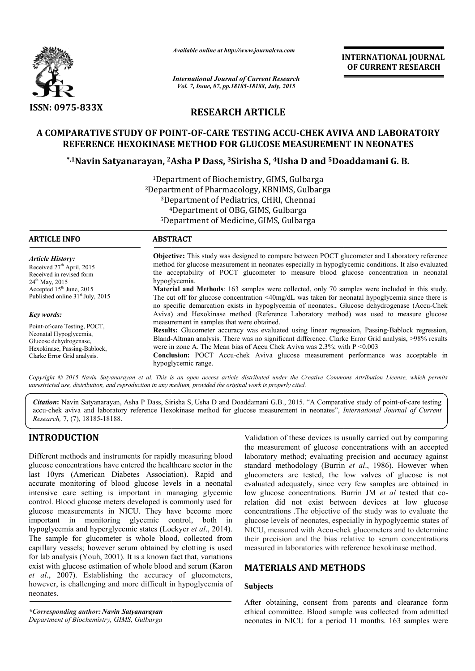

*Available online at http://www.journalcra.com*

# RESEARCH ARTICLE

# A COMPARATIVE STUDY OF POINT-OF-CARE TESTING ACCU-CHEK AVIVA AND LABORATORY REFERENCE HEXOKINASE METHOD FOR GLUCOSE MEASUREMENT IN NEONATES

## \*,1Navin Satyanarayan, <sup>2</sup>Asha P Dass, <sup>3</sup>Sirisha S, <sup>4</sup>Usha D and <sup>5</sup>Doaddamani G. B.

|                                                                                                                                                                                                                                                                                                                                                                                                                                                                                                                                                                                                                                                                                                                                                                                                                                                     | лтанион онине игнир.//www.journancra.com<br><b>International Journal of Current Research</b><br>Vol. 7, Issue, 07, pp.18185-18188, July, 2015<br><b>RESEARCH ARTICLE</b> |                                                                                                                                                                                                                                                                                                                                                                                                                                                                                                                                                                                                          | <b>INTERNATIONAL JOURNAL</b><br>OF CURRENT RESEARCH                                                                                                                                                                                                                                                                                                                                                                                                                                                                                                                                                                                                                                                                                                                                                                                       |  |
|-----------------------------------------------------------------------------------------------------------------------------------------------------------------------------------------------------------------------------------------------------------------------------------------------------------------------------------------------------------------------------------------------------------------------------------------------------------------------------------------------------------------------------------------------------------------------------------------------------------------------------------------------------------------------------------------------------------------------------------------------------------------------------------------------------------------------------------------------------|--------------------------------------------------------------------------------------------------------------------------------------------------------------------------|----------------------------------------------------------------------------------------------------------------------------------------------------------------------------------------------------------------------------------------------------------------------------------------------------------------------------------------------------------------------------------------------------------------------------------------------------------------------------------------------------------------------------------------------------------------------------------------------------------|-------------------------------------------------------------------------------------------------------------------------------------------------------------------------------------------------------------------------------------------------------------------------------------------------------------------------------------------------------------------------------------------------------------------------------------------------------------------------------------------------------------------------------------------------------------------------------------------------------------------------------------------------------------------------------------------------------------------------------------------------------------------------------------------------------------------------------------------|--|
| ISSN: 0975-833X                                                                                                                                                                                                                                                                                                                                                                                                                                                                                                                                                                                                                                                                                                                                                                                                                                     |                                                                                                                                                                          |                                                                                                                                                                                                                                                                                                                                                                                                                                                                                                                                                                                                          |                                                                                                                                                                                                                                                                                                                                                                                                                                                                                                                                                                                                                                                                                                                                                                                                                                           |  |
|                                                                                                                                                                                                                                                                                                                                                                                                                                                                                                                                                                                                                                                                                                                                                                                                                                                     | REFERENCE HEXOKINASE METHOD FOR GLUCOSE MEASUREMENT IN NEONATES                                                                                                          |                                                                                                                                                                                                                                                                                                                                                                                                                                                                                                                                                                                                          | A COMPARATIVE STUDY OF POINT-OF-CARE TESTING ACCU-CHEK AVIVA AND LABORATORY                                                                                                                                                                                                                                                                                                                                                                                                                                                                                                                                                                                                                                                                                                                                                               |  |
|                                                                                                                                                                                                                                                                                                                                                                                                                                                                                                                                                                                                                                                                                                                                                                                                                                                     | <sup>*,1</sup> Navin Satyanarayan, <sup>2</sup> Asha P Dass, <sup>3</sup> Sirisha S, <sup>4</sup> Usha D and <sup>5</sup> Doaddamani G. B.                               |                                                                                                                                                                                                                                                                                                                                                                                                                                                                                                                                                                                                          |                                                                                                                                                                                                                                                                                                                                                                                                                                                                                                                                                                                                                                                                                                                                                                                                                                           |  |
|                                                                                                                                                                                                                                                                                                                                                                                                                                                                                                                                                                                                                                                                                                                                                                                                                                                     |                                                                                                                                                                          | <sup>1</sup> Department of Biochemistry, GIMS, Gulbarga<br><sup>2</sup> Department of Pharmacology, KBNIMS, Gulbarga<br><sup>3</sup> Department of Pediatrics, CHRI, Chennai<br><sup>4</sup> Department of OBG, GIMS, Gulbarga<br><sup>5</sup> Department of Medicine, GIMS, Gulbarga                                                                                                                                                                                                                                                                                                                    |                                                                                                                                                                                                                                                                                                                                                                                                                                                                                                                                                                                                                                                                                                                                                                                                                                           |  |
| <b>ARTICLE INFO</b>                                                                                                                                                                                                                                                                                                                                                                                                                                                                                                                                                                                                                                                                                                                                                                                                                                 | <b>ABSTRACT</b>                                                                                                                                                          |                                                                                                                                                                                                                                                                                                                                                                                                                                                                                                                                                                                                          |                                                                                                                                                                                                                                                                                                                                                                                                                                                                                                                                                                                                                                                                                                                                                                                                                                           |  |
| Article History:<br>Received 27 <sup>th</sup> April, 2015<br>Received in revised form<br>24 <sup>th</sup> May, 2015<br>Accepted 15 <sup>th</sup> June, 2015<br>Published online 31 <sup>st</sup> July, 2015                                                                                                                                                                                                                                                                                                                                                                                                                                                                                                                                                                                                                                         | hypoglycemia.                                                                                                                                                            | Objective: This study was designed to compare between POCT glucometer and Laboratory reference<br>method for glucose measurement in neonates especially in hypoglycemic conditions. It also evaluated<br>the acceptability of POCT glucometer to measure blood glucose concentration in neonatal<br>Material and Methods: 163 samples were collected, only 70 samples were included in this study.<br>The cut off for glucose concentration <40mg/dL was taken for neonatal hypoglycemia since there is<br>no specific demarcation exists in hypoglycemia of neonates., Glucose dehydrogenase (Accu-Chek |                                                                                                                                                                                                                                                                                                                                                                                                                                                                                                                                                                                                                                                                                                                                                                                                                                           |  |
| <b>Key words:</b>                                                                                                                                                                                                                                                                                                                                                                                                                                                                                                                                                                                                                                                                                                                                                                                                                                   |                                                                                                                                                                          |                                                                                                                                                                                                                                                                                                                                                                                                                                                                                                                                                                                                          | Aviva) and Hexokinase method (Reference Laboratory method) was used to measure glucose                                                                                                                                                                                                                                                                                                                                                                                                                                                                                                                                                                                                                                                                                                                                                    |  |
| Point-of-care Testing, POCT,<br>Neonatal Hypoglycemia,<br>Glucose dehydrogenase,<br>Hexokinase, Passing-Bablock,<br>Clarke Error Grid analysis.                                                                                                                                                                                                                                                                                                                                                                                                                                                                                                                                                                                                                                                                                                     | hypoglycemic range.                                                                                                                                                      | measurement in samples that were obtained.<br>Results: Glucometer accuracy was evaluated using linear regression, Passing-Bablock regression,<br>Bland-Altman analysis. There was no significant difference. Clarke Error Grid analysis, >98% results<br>were in zone A. The Mean bias of Accu Chek Aviva was $2.3\%$ ; with $P < 0.003$<br>Conclusion: POCT Accu-chek Aviva glucose measurement performance was acceptable in                                                                                                                                                                           |                                                                                                                                                                                                                                                                                                                                                                                                                                                                                                                                                                                                                                                                                                                                                                                                                                           |  |
|                                                                                                                                                                                                                                                                                                                                                                                                                                                                                                                                                                                                                                                                                                                                                                                                                                                     | unrestricted use, distribution, and reproduction in any medium, provided the original work is properly cited.                                                            |                                                                                                                                                                                                                                                                                                                                                                                                                                                                                                                                                                                                          | Copyright © 2015 Navin Satyanarayan et al. This is an open access article distributed under the Creative Commons Attribution License, which permits                                                                                                                                                                                                                                                                                                                                                                                                                                                                                                                                                                                                                                                                                       |  |
| Research, 7, (7), 18185-18188.                                                                                                                                                                                                                                                                                                                                                                                                                                                                                                                                                                                                                                                                                                                                                                                                                      |                                                                                                                                                                          |                                                                                                                                                                                                                                                                                                                                                                                                                                                                                                                                                                                                          | Citation: Navin Satyanarayan, Asha P Dass, Sirisha S, Usha D and Doaddamani G.B., 2015. "A Comparative study of point-of-care testing<br>accu-chek aviva and laboratory reference Hexokinase method for glucose measurement in neonates", International Journal of Current                                                                                                                                                                                                                                                                                                                                                                                                                                                                                                                                                                |  |
| <b>INTRODUCTION</b>                                                                                                                                                                                                                                                                                                                                                                                                                                                                                                                                                                                                                                                                                                                                                                                                                                 |                                                                                                                                                                          |                                                                                                                                                                                                                                                                                                                                                                                                                                                                                                                                                                                                          | Validation of these devices is usually carried out by comparing                                                                                                                                                                                                                                                                                                                                                                                                                                                                                                                                                                                                                                                                                                                                                                           |  |
| Different methods and instruments for rapidly measuring blood<br>glucose concentrations have entered the healthcare sector in the<br>last 10yrs (American Diabetes Association). Rapid and<br>accurate monitoring of blood glucose levels in a neonatal<br>intensive care setting is important in managing glycemic<br>control. Blood glucose meters developed is commonly used for<br>important in monitoring glycemic control, both<br>hypoglycemia and hyperglycemic states (Lockyer et al., 2014).<br>The sample for glucometer is whole blood, collected from<br>capillary vessels; however serum obtained by clotting is used<br>for lab analysis (Youh, 2001). It is a known fact that, variations<br>exist with glucose estimation of whole blood and serum (Karon<br>et al., 2007). Establishing the accuracy of glucometers,<br>neonates. | glucose measurements in NICU. They have become more<br>in<br>however, is challenging and more difficult in hypoglycemia of                                               | <b>MATERIALS AND METHODS</b><br><b>Subjects</b>                                                                                                                                                                                                                                                                                                                                                                                                                                                                                                                                                          | the measurement of glucose concentrations with an accepted<br>laboratory method; evaluating precision and accuracy against<br>standard methodology (Burrin et al., 1986). However when<br>glucometers are tested, the low valves of glucose is not<br>evaluated adequately, since very few samples are obtained in<br>low glucose concentrations. Burrin JM et al tested that co-<br>relation did not exist between devices at low glucose<br>concentrations. The objective of the study was to evaluate the<br>glucose levels of neonates, especially in hypoglycemic states of<br>NICU, measured with Accu-chek glucometers and to determine<br>their precision and the bias relative to serum concentrations<br>measured in laboratories with reference hexokinase method.<br>After obtaining, consent from parents and clearance form |  |
| *Corresponding author: Navin Satyanarayan<br>Department of Biochemistry, GIMS, Gulbarga                                                                                                                                                                                                                                                                                                                                                                                                                                                                                                                                                                                                                                                                                                                                                             |                                                                                                                                                                          |                                                                                                                                                                                                                                                                                                                                                                                                                                                                                                                                                                                                          | ethical committee. Blood sample was collected from admitted<br>neonates in NICU for a period 11 months. 163 samples were                                                                                                                                                                                                                                                                                                                                                                                                                                                                                                                                                                                                                                                                                                                  |  |

# INTRODUCTION

## MATERIALS AND METHODS

### Subjects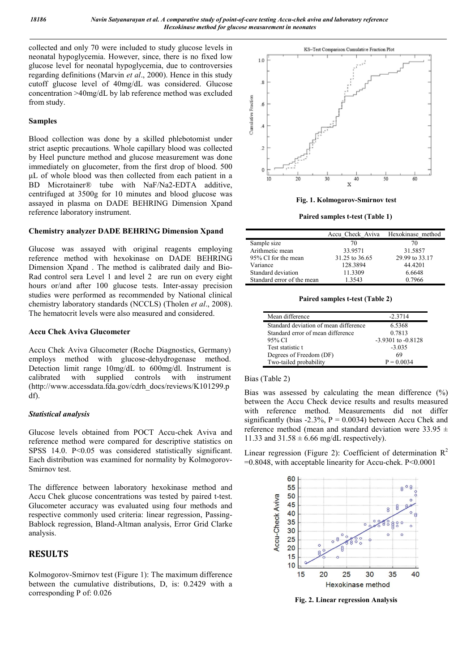collected and only 70 were included to study glucose levels in neonatal hypoglycemia. However, since, there is no fixed low glucose level for neonatal hypoglycemia, due to controversies regarding definitions (Marvin *et al*., 2000). Hence in this study cutoff glucose level of 40mg/dL was considered. Glucose concentration >40mg/dL by lab reference method was excluded from study.

#### Samples

Blood collection was done by a skilled phlebotomist under strict aseptic precautions. Whole capillary blood was collected by Heel puncture method and glucose measurement was done immediately on glucometer, from the first drop of blood. 500 μL of whole blood was then collected from each patient in a BD Microtainer® tube with NaF/Na2-EDTA additive, centrifuged at 3500g for 10 minutes and blood glucose was assayed in plasma on DADE BEHRING Dimension Xpand reference laboratory instrument.

### Chemistry analyzer DADE BEHRING Dimension Xpand

Glucose was assayed with original reagents employing reference method with hexokinase on DADE BEHRING Dimension Xpand . The method is calibrated daily and Bio-Rad control sera Level 1 and level 2 are run on every eight hours or/and after 100 glucose tests. Inter-assay precision studies were performed as recommended by National clinical chemistry laboratory standards (NCCLS) (Tholen *et al*., 2008). The hematocrit levels were also measured and considered.

#### Accu Chek Aviva Glucometer

Accu Chek Aviva Glucometer (Roche Diagnostics, Germany) employs method with glucose-dehydrogenase method. Detection limit range 10mg/dL to 600mg/dl. Instrument is calibrated with supplied controls with instrument (http://www.accessdata.fda.gov/cdrh\_docs/reviews/K101299.p df).

### *Statistical analysis*

Glucose levels obtained from POCT Accu-chek Aviva and reference method were compared for descriptive statistics on SPSS 14.0. P<0.05 was considered statistically significant. Each distribution was examined for normality by Kolmogorov-Smirnov test.

The difference between laboratory hexokinase method and Accu Chek glucose concentrations was tested by paired t-test. Glucometer accuracy was evaluated using four methods and respective commonly used criteria: linear regression, Passing-Bablock regression, Bland-Altman analysis, Error Grid Clarke analysis.

## RESULTS

Kolmogorov-Smirnov test (Figure 1): The maximum difference between the cumulative distributions, D, is: 0.2429 with a corresponding P of: 0.026



Fig. 1. Kolmogorov-Smirnov test

Paired samples t-test (Table 1)

|                            | Accu Check Aviva | Hexokinase method |
|----------------------------|------------------|-------------------|
| Sample size                | 70               | 70                |
| Arithmetic mean            | 33.9571          | 31.5857           |
| 95% CI for the mean        | 31.25 to 36.65   | 29.99 to 33.17    |
| Variance                   | 128.3894         | 44.4201           |
| Standard deviation         | 11.3309          | 6.6648            |
| Standard error of the mean | 1.3543           | 0.7966            |

Paired samples t-test (Table 2)

| Mean difference                       | $-2.3714$              |
|---------------------------------------|------------------------|
| Standard deviation of mean difference | 6.5368                 |
| Standard error of mean difference     | 0.7813                 |
| 95% CI                                | $-3.9301$ to $-0.8128$ |
| Test statistic t                      | $-3.035$               |
| Degrees of Freedom (DF)               | 69                     |
| Two-tailed probability                | $P = 0.0034$           |

Bias (Table 2)

Bias was assessed by calculating the mean difference  $(\%)$ between the Accu Check device results and results measured with reference method. Measurements did not differ significantly (bias -2.3%,  $P = 0.0034$ ) between Accu Chek and reference method (mean and standard deviation were  $33.95 \pm$ 11.33 and  $31.58 \pm 6.66$  mg/dL respectively).

Linear regression (Figure 2): Coefficient of determination  $R^2$ =0.8048, with acceptable linearity for Accu-chek. P<0.0001



Fig. 2. Linear regression Analysis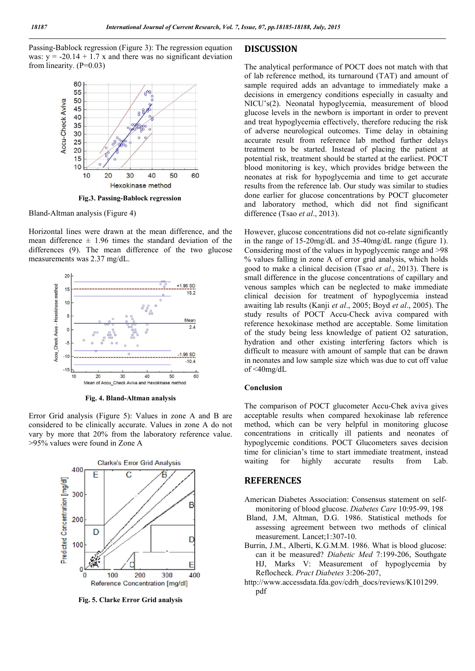Passing-Bablock regression (Figure 3): The regression equation was:  $y = -20.14 + 1.7 x$  and there was no significant deviation from linearity.  $(P=0.03)$ 



Fig.3. Passing-Bablock regression

Bland-Altman analysis (Figure 4)

Horizontal lines were drawn at the mean difference, and the mean difference  $\pm$  1.96 times the standard deviation of the differences (9). The mean difference of the two glucose measurements was 2.37 mg/dL.



Fig. 4. Bland-Altman analysis

Error Grid analysis (Figure 5): Values in zone A and B are considered to be clinically accurate. Values in zone A do not vary by more that 20% from the laboratory reference value. >95% values were found in Zone A



Fig. 5. Clarke Error Grid analysis

## DISCUSSION

The analytical performance of POCT does not match with that of lab reference method, its turnaround (TAT) and amount of sample required adds an advantage to immediately make a decisions in emergency conditions especially in casualty and NICU's(2). Neonatal hypoglycemia, measurement of blood glucose levels in the newborn is important in order to prevent and treat hypoglycemia effectively, therefore reducing the risk of adverse neurological outcomes. Time delay in obtaining accurate result from reference lab method further delays treatment to be started. Instead of placing the patient at potential risk, treatment should be started at the earliest. POCT blood monitoring is key, which provides bridge between the neonates at risk for hypoglycemia and time to get accurate results from the reference lab. Our study was similar to studies done earlier for glucose concentrations by POCT glucometer and laboratory method, which did not find significant difference (Tsao *et al*., 2013).

However, glucose concentrations did not co-relate significantly in the range of 15-20mg/dL and 35-40mg/dL range (figure 1). Considering most of the values in hypoglycemic range and >98 % values falling in zone A of error grid analysis, which holds good to make a clinical decision (Tsao *et al*., 2013). There is small difference in the glucose concentrations of capillary and venous samples which can be neglected to make immediate clinical decision for treatment of hypoglycemia instead awaiting lab results (Kanji *et al*., 2005; Boyd *et al*., 2005). The study results of POCT Accu-Check aviva compared with reference hexokinase method are acceptable. Some limitation of the study being less knowledge of patient O2 saturation, hydration and other existing interfering factors which is difficult to measure with amount of sample that can be drawn in neonates and low sample size which was due to cut off value of <40mg/dL

#### Conclusion

The comparison of POCT glucometer Accu-Chek aviva gives acceptable results when compared hexokinase lab reference method, which can be very helpful in monitoring glucose concentrations in critically ill patients and neonates of hypoglycemic conditions. POCT Glucometers saves decision time for clinician's time to start immediate treatment, instead waiting for highly accurate results from Lab.

#### **REFERENCES**

- American Diabetes Association: Consensus statement on selfmonitoring of blood glucose. *Diabetes Care* 10:95-99, 198
- Bland, J.M, Altman, D.G. 1986. Statistical methods for assessing agreement between two methods of clinical measurement. Lancet;1:307-10.
- Burrin, J.M., Alberti, K.G.M.M. 1986. What is blood glucose: can it be measured? *Diabetic Med* 7:199-206, Southgate HJ, Marks V: Measurement of hypoglycemia by Reflocheck. *Pract Diabetes* 3:206-207,
- http://www.accessdata.fda.gov/cdrh\_docs/reviews/K101299. pdf